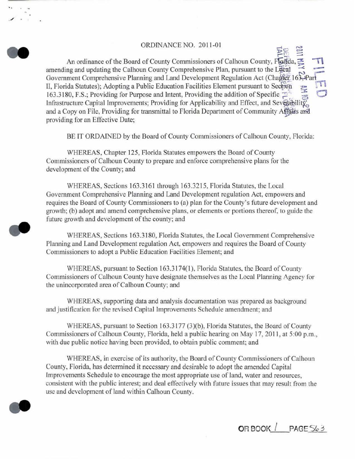# ORDINANCE NO. 2011-01

 $\geq$   $\cong$ An ordinance of the Board of County Commissioners of Calhoun County, Flagda, amending and updating the Calhoun County Comprehensive Plan, pursuant to the Lecal Government Comprehensive Planning and Land Development Regulation Act (Chapter 163, Par II, Florida Statutes); Adopting a Public Education Facilities Element pursuant to Section 163.3180, F.S.; Providing for Purpose and Intent, Providing the addition of Specific  $\mathbb{Z}^+$ Infrastructure Capital Improvements; Providing for Applicability and Effect, and Severability, and a Copy on File, Providing for transmittal to Florida Department of Community Applies and providing for an Effective Date;

BE IT ORDAINED by the Board of County Commissioners of Calhoun County, Florida:

WHEREAS, Chapter 125, Florida Statutes empowers the Board of County Commissioners of Calhoun County to prepare and enforce comprehensive plans for the development of the County; and

WHEREAS, Sections 163.3161 through 163.3215, Florida Statutes, the Local Government Comprehensive Planning and Land Development regulation Act, empowers and requires the Board of County Commissioners to (a) plan for the County's future development and growth; (b) adopt and amend comprehensive plans, or elements or portions thereof, to guide the future growth and development of the county; and

WHEREAS, Sections 163.3180, Florida Statutes, the Local Govemment Comprehensive Planning and Land Development regulation Act, empowers and requires the Board of County Commissioners to adopt a Public Education Facilities Element; and

WHEREAS, pursuant to Section 163.3174(1), Florida Statutes, the Board of County Commissioners of Calhoun County have designate themselves as the Local Planning Agency for the unincorporated area of Calhoun County; and

WHEREAS, supporting data and analysis documentation was prepared as background and justitication for the revised Capital Improvements Schedule amendment; and

WHEREAS, pursuant to Section 163.3177 (3)(b), Florida Statutes, the Board of County Commissioners of Calhoun County, Florida, held a public hearing on May 17, 2011, at 5:00 p.m., with due public notice having been provided, to obtain public comment; and

WHEREAS, in exercise of its authority, the Board of County Commissioners of Calhoun County, Florida, has determined it necessary and desirable to adopt the amended Capital Improvements Schedule to encourage the most appropriate use of land, water and resources, consistent with the public interest; and deal effectively with future issues that may result from the use and development of land within Calhoun County.



. / .

**OR BOOK** ·\_\_:\_\_ **I PAGE** *Sic.:;*